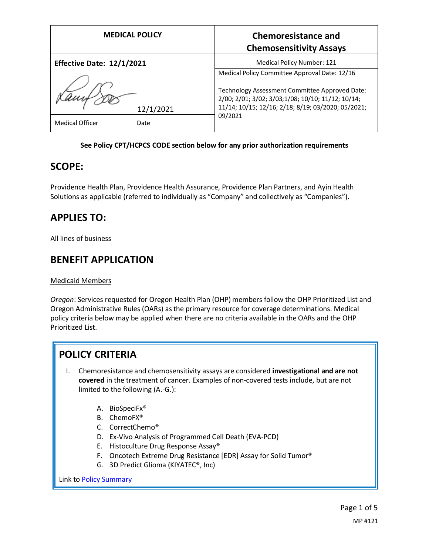| <b>MEDICAL POLICY</b>                       | <b>Chemoresistance and</b><br><b>Chemosensitivity Assays</b>                                                                                                                                                           |
|---------------------------------------------|------------------------------------------------------------------------------------------------------------------------------------------------------------------------------------------------------------------------|
| <b>Effective Date: 12/1/2021</b>            | <b>Medical Policy Number: 121</b>                                                                                                                                                                                      |
| 12/1/2021<br><b>Medical Officer</b><br>Date | Medical Policy Committee Approval Date: 12/16<br>Technology Assessment Committee Approved Date:<br>2/00; 2/01; 3/02; 3/03; 1/08; 10/10; 11/12; 10/14;<br>11/14; 10/15; 12/16; 2/18; 8/19; 03/2020; 05/2021;<br>09/2021 |

#### **See Policy CPT/HCPCS CODE section below for any prior authorization requirements**

#### **SCOPE:**

Providence Health Plan, Providence Health Assurance, Providence Plan Partners, and Ayin Health Solutions as applicable (referred to individually as "Company" and collectively as "Companies").

### **APPLIES TO:**

All lines of business

### **BENEFIT APPLICATION**

#### Medicaid Members

*Oregon*: Services requested for Oregon Health Plan (OHP) members follow the OHP Prioritized List and Oregon Administrative Rules (OARs) as the primary resource for coverage determinations. Medical policy criteria below may be applied when there are no criteria available in the OARs and the OHP Prioritized List.

# **POLICY CRITERIA**

- I. Chemoresistance and chemosensitivity assays are considered **investigational and are not covered** in the treatment of cancer. Examples of non-covered tests include, but are not limited to the following (A.-G.):
	- A. BioSpeciFx®
	- B. ChemoFX®
	- C. CorrectChemo®
	- D. Ex-Vivo Analysis of Programmed Cell Death (EVA-PCD)
	- E. Histoculture Drug Response Assay®
	- F. Oncotech Extreme Drug Resistance [EDR] Assay for Solid Tumor®
	- G. 3D Predict Glioma (KIYATEC®, Inc)

Link t[o Policy Summary](#page-3-0)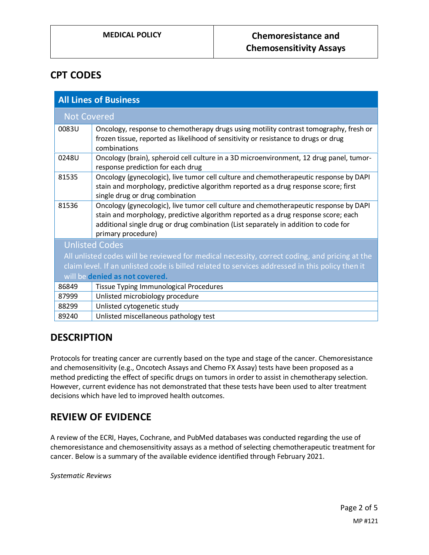### **CPT CODES**

| <b>All Lines of Business</b>                                                                                                                                                                                                       |                                                                                                                                                                                                                                                                                          |
|------------------------------------------------------------------------------------------------------------------------------------------------------------------------------------------------------------------------------------|------------------------------------------------------------------------------------------------------------------------------------------------------------------------------------------------------------------------------------------------------------------------------------------|
| <b>Not Covered</b>                                                                                                                                                                                                                 |                                                                                                                                                                                                                                                                                          |
| 0083U                                                                                                                                                                                                                              | Oncology, response to chemotherapy drugs using motility contrast tomography, fresh or<br>frozen tissue, reported as likelihood of sensitivity or resistance to drugs or drug<br>combinations                                                                                             |
| 0248U                                                                                                                                                                                                                              | Oncology (brain), spheroid cell culture in a 3D microenvironment, 12 drug panel, tumor-<br>response prediction for each drug                                                                                                                                                             |
| 81535                                                                                                                                                                                                                              | Oncology (gynecologic), live tumor cell culture and chemotherapeutic response by DAPI<br>stain and morphology, predictive algorithm reported as a drug response score; first<br>single drug or drug combination                                                                          |
| 81536                                                                                                                                                                                                                              | Oncology (gynecologic), live tumor cell culture and chemotherapeutic response by DAPI<br>stain and morphology, predictive algorithm reported as a drug response score; each<br>additional single drug or drug combination (List separately in addition to code for<br>primary procedure) |
| <b>Unlisted Codes</b>                                                                                                                                                                                                              |                                                                                                                                                                                                                                                                                          |
| All unlisted codes will be reviewed for medical necessity, correct coding, and pricing at the<br>claim level. If an unlisted code is billed related to services addressed in this policy then it<br>will be denied as not covered. |                                                                                                                                                                                                                                                                                          |
| 86849                                                                                                                                                                                                                              | <b>Tissue Typing Immunological Procedures</b>                                                                                                                                                                                                                                            |
| 87999                                                                                                                                                                                                                              | Unlisted microbiology procedure                                                                                                                                                                                                                                                          |
| 88299                                                                                                                                                                                                                              | Unlisted cytogenetic study                                                                                                                                                                                                                                                               |
| 89240                                                                                                                                                                                                                              | Unlisted miscellaneous pathology test                                                                                                                                                                                                                                                    |

# **DESCRIPTION**

Protocols for treating cancer are currently based on the type and stage of the cancer. Chemoresistance and chemosensitivity (e.g., Oncotech Assays and Chemo FX Assay) tests have been proposed as a method predicting the effect of specific drugs on tumors in order to assist in chemotherapy selection. However, current evidence has not demonstrated that these tests have been used to alter treatment decisions which have led to improved health outcomes.

# **REVIEW OF EVIDENCE**

A review of the ECRI, Hayes, Cochrane, and PubMed databases was conducted regarding the use of chemoresistance and chemosensitivity assays as a method of selecting chemotherapeutic treatment for cancer. Below is a summary of the available evidence identified through February 2021.

*Systematic Reviews*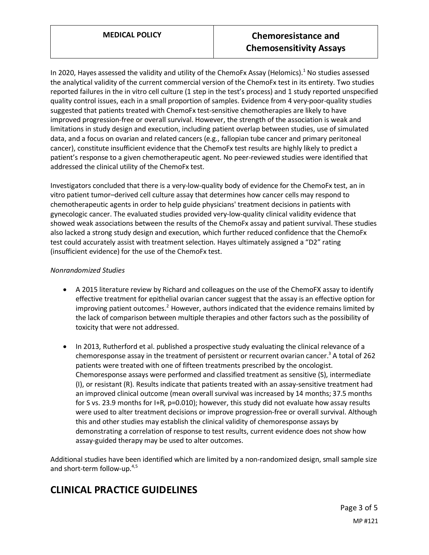In 2020, Hayes assessed the validity and utility of the ChemoFx Assay (Helomics).<sup>1</sup> No studies assessed the analytical validity of the current commercial version of the ChemoFx test in its entirety. Two studies reported failures in the in vitro cell culture (1 step in the test's process) and 1 study reported unspecified quality control issues, each in a small proportion of samples. Evidence from 4 very-poor-quality studies suggested that patients treated with ChemoFx test-sensitive chemotherapies are likely to have improved progression-free or overall survival. However, the strength of the association is weak and limitations in study design and execution, including patient overlap between studies, use of simulated data, and a focus on ovarian and related cancers (e.g., fallopian tube cancer and primary peritoneal cancer), constitute insufficient evidence that the ChemoFx test results are highly likely to predict a patient's response to a given chemotherapeutic agent. No peer-reviewed studies were identified that addressed the clinical utility of the ChemoFx test.

Investigators concluded that there is a very-low-quality body of evidence for the ChemoFx test, an in vitro patient tumor–derived cell culture assay that determines how cancer cells may respond to chemotherapeutic agents in order to help guide physicians' treatment decisions in patients with gynecologic cancer. The evaluated studies provided very-low-quality clinical validity evidence that showed weak associations between the results of the ChemoFx assay and patient survival. These studies also lacked a strong study design and execution, which further reduced confidence that the ChemoFx test could accurately assist with treatment selection. Hayes ultimately assigned a "D2" rating (insufficient evidence) for the use of the ChemoFx test.

#### *Nonrandomized Studies*

- A 2015 literature review by Richard and colleagues on the use of the ChemoFX assay to identify effective treatment for epithelial ovarian cancer suggest that the assay is an effective option for improving patient outcomes.<sup>2</sup> However, authors indicated that the evidence remains limited by the lack of comparison between multiple therapies and other factors such as the possibility of toxicity that were not addressed.
- In 2013, Rutherford et al. published a prospective study evaluating the clinical relevance of a chemoresponse assay in the treatment of persistent or recurrent ovarian cancer.<sup>3</sup> A total of 262 patients were treated with one of fifteen treatments prescribed by the oncologist. Chemoresponse assays were performed and classified treatment as sensitive (S), intermediate (I), or resistant (R). Results indicate that patients treated with an assay-sensitive treatment had an improved clinical outcome (mean overall survival was increased by 14 months; 37.5 months for S vs. 23.9 months for I+R, p=0.010); however, this study did not evaluate how assay results were used to alter treatment decisions or improve progression-free or overall survival. Although this and other studies may establish the clinical validity of chemoresponse assays by demonstrating a correlation of response to test results, current evidence does not show how assay-guided therapy may be used to alter outcomes.

Additional studies have been identified which are limited by a non-randomized design, small sample size and short-term follow-up.<sup>4,5</sup>

# **CLINICAL PRACTICE GUIDELINES**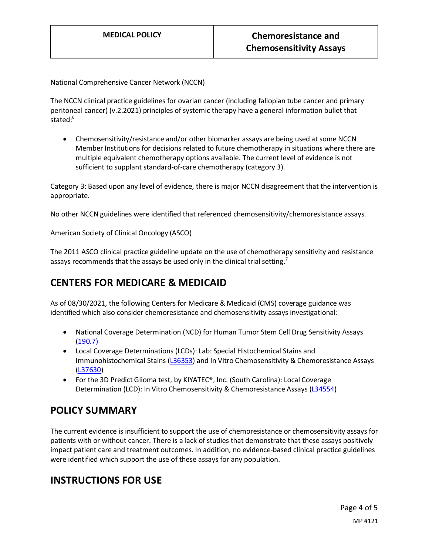#### National Comprehensive Cancer Network (NCCN)

The NCCN clinical practice guidelines for ovarian cancer (including fallopian tube cancer and primary peritoneal cancer) (v.2.2021) principles of systemic therapy have a general information bullet that stated:<sup>6</sup>

• Chemosensitivity/resistance and/or other biomarker assays are being used at some NCCN Member Institutions for decisions related to future chemotherapy in situations where there are multiple equivalent chemotherapy options available. The current level of evidence is not sufficient to supplant standard-of-care chemotherapy (category 3).

Category 3: Based upon any level of evidence, there is major NCCN disagreement that the intervention is appropriate.

No other NCCN guidelines were identified that referenced chemosensitivity/chemoresistance assays.

#### American Society of Clinical Oncology (ASCO)

The 2011 ASCO clinical practice guideline update on the use of chemotherapy sensitivity and resistance assays recommends that the assays be used only in the clinical trial setting.<sup>7</sup>

# <span id="page-3-0"></span>**CENTERS FOR MEDICARE & MEDICAID**

As of 08/30/2021, the following Centers for Medicare & Medicaid (CMS) coverage guidance was identified which also consider chemoresistance and chemosensitivity assays investigational:

- National Coverage Determination (NCD) for Human Tumor Stem Cell Drug Sensitivity Assays [\(190.7\)](https://www.cms.gov/medicare-coverage-database/details/ncd-details.aspx?NCDId=253)
- Local Coverage Determinations (LCDs): Lab: Special Histochemical Stains and Immunohistochemical Stains [\(L36353\)](https://www.cms.gov/medicare-coverage-database/details/lcd-details.aspx?LCDId=36353) and In Vitro Chemosensitivity & Chemoresistance Assays [\(L37630\)](https://www.cms.gov/medicare-coverage-database/details/lcd-details.aspx?lcdid=37630)
- For the 3D Predict Glioma test, by KIYATEC®, Inc. (South Carolina): Local Coverage Determination (LCD): In Vitro Chemosensitivity & Chemoresistance Assays [\(L34554\)](https://www.cms.gov/medicare-coverage-database/details/lcd-details.aspx?lcdid=34554)

### **POLICY SUMMARY**

The current evidence is insufficient to support the use of chemoresistance or chemosensitivity assays for patients with or without cancer. There is a lack of studies that demonstrate that these assays positively impact patient care and treatment outcomes. In addition, no evidence-based clinical practice guidelines were identified which support the use of these assays for any population.

# **INSTRUCTIONS FOR USE**